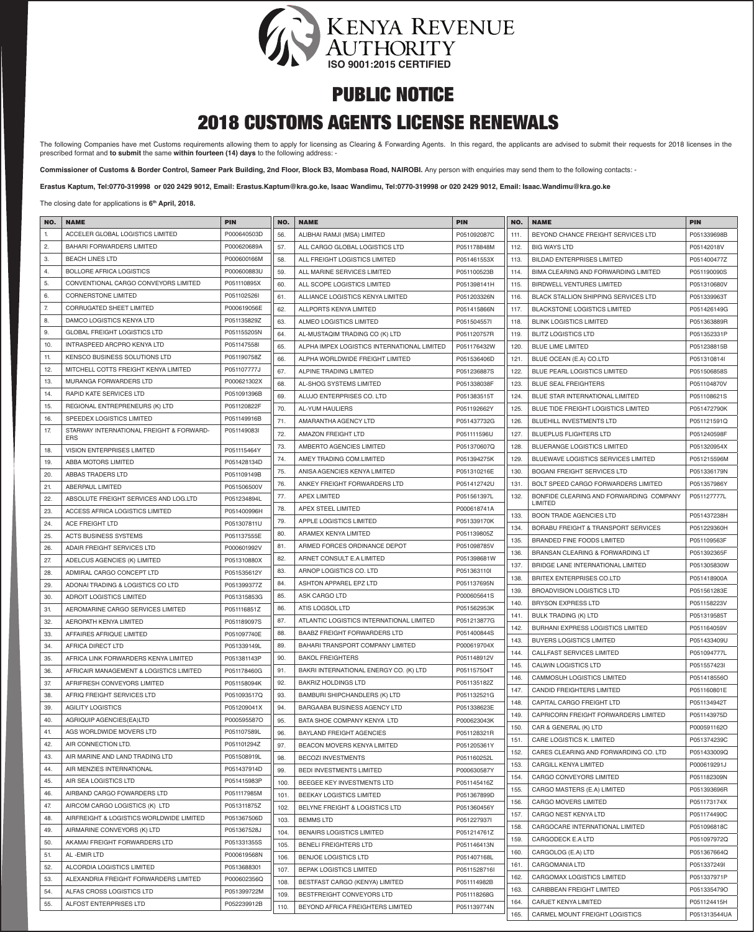

### 2018 CUSTOMS AGENTS LICENSE RENEWALS

The following Companies have met Customs requirements allowing them to apply for licensing as Clearing & Forwarding Agents. In this regard, the applicants are advised to submit their requests for 2018 licenses in the prescribed format and **to submit** the same **within fourteen (14) days** to the following address: -

Commissioner of Customs & Border Control, Sameer Park Building, 2nd Floor, Block B3, Mombasa Road, NAIROBI. Any person with enquiries may send them to the following contacts: -

**Erastus Kaptum, Tel:0770-319998 or 020 2429 9012, Email: Erastus.Kaptum@kra.go.ke, Isaac Wandimu, Tel:0770-319998 or 020 2429 9012, Email: Isaac.Wandimu@kra.go.ke**

The closing date for applications is **6th April, 2018.**

| NO. | <b>NAME</b>                                            | <b>PIN</b>  | NO.  | <b>NAME</b>                                 | <b>PIN</b>   | NO.  | <b>NAME</b>                                 | <b>PIN</b>   |
|-----|--------------------------------------------------------|-------------|------|---------------------------------------------|--------------|------|---------------------------------------------|--------------|
| 1.  | ACCELER GLOBAL LOGISTICS LIMITED                       | P000640503D | 56.  | ALIBHAI RAMJI (MSA) LIMITED                 | P051092087C  | 111. | BEYOND CHANCE FREIGHT SERVICES LTD          | P051339698B  |
| 2.  | <b>BAHARI FORWARDERS LIMITED</b>                       | P000620689A | 57.  | ALL CARGO GLOBAL LOGISTICS LTD              | P051178848M  | 112. | <b>BIG WAYS LTD</b>                         | P05142018V   |
| 3.  | <b>BEACH LINES LTD</b>                                 | P000600166M | 58.  | ALL FREIGHT LOGISTICS LIMITED               | P051461553X  | 113. | <b>BILDAD ENTERPRISES LIMITED</b>           | P051400477Z  |
| 4.  | <b>BOLLORE AFRICA LOGISTICS</b>                        | P000600883U | 59.  | ALL MARINE SERVICES LIMITED                 | P051100523B  | 114. | BIMA CLEARING AND FORWARDING LIMITED        | P051190090S  |
| 5.  | CONVENTIONAL CARGO CONVEYORS LIMITED                   | P051110895X | 60.  | ALL SCOPE LOGISTICS LIMITED                 | P051398141H  | 115. | <b>BIRDWELL VENTURES LIMITED</b>            | P051310680V  |
| 6.  | <b>CORNERSTONE LIMITED</b>                             | P051102526I | 61.  | ALLIANCE LOGISTICS KENYA LIMITED            | P051203326N  | 116. | <b>BLACK STALLION SHIPPING SERVICES LTD</b> | P051339963T  |
| 7.  | CORRUGATED SHEET LIMITED                               | P000619056E | 62.  | ALLPORTS KENYA LIMITED                      | P051415866N  | 117. | <b>BLACKSTONE LOGISTICS LIMITED</b>         | P051426149G  |
| 8.  | DAMCO LOGISTICS KENYA LTD                              | P051135829Z | 63.  | ALMEO LOGISTICS LIMITED                     | P051504557I  | 118. | <b>BLINK LOGISTICS LIMITED</b>              | P051363889R  |
| 9.  | <b>GLOBAL FREIGHT LOGISTICS LTD</b>                    | P051155205N | 64.  | AL-MUSTAQIM TRADING CO (K) LTD              | P051120757R  | 119. | <b>BLITZ LOGISTICS LTD</b>                  | P051352331P  |
| 10. | <b>INTRASPEED ARCPRO KENYA LTD</b>                     | P051147558I | 65.  | ALPHA IMPEX LOGISTICS INTERNATIONAL LIMITED | P051176432W  | 120. | <b>BLUE LIME LIMITED</b>                    | P051238815B  |
| 11. | KENSCO BUSINESS SOLUTIONS LTD                          | P051190758Z | 66.  | ALPHA WORLDWIDE FREIGHT LIMITED             | P051536406D  | 121. | BLUE OCEAN (E.A) CO.LTD                     | P051310814l  |
| 12. | MITCHELL COTTS FREIGHT KENYA LIMITED                   | P051107777J | 67.  | ALPINE TRADING LIMITED                      | P051236887S  | 122. | <b>BLUE PEARL LOGISTICS LIMITED</b>         | P051506858S  |
| 13. | MURANGA FORWARDERS LTD                                 | P000621302X | 68.  | AL-SHOG SYSTEMS LIMITED                     | P051338038F  | 123. | <b>BLUE SEAL FREIGHTERS</b>                 | P051104870V  |
| 14. | RAPID KATE SERVICES LTD                                | P051091396B | 69.  | ALUJO ENTERPRISES CO. LTD                   | P051383515T  | 124. | BLUE STAR INTERNATIONAL LIMITED             | P051108621S  |
| 15. | REGIONAL ENTREPRENEURS (K) LTD                         | P051120822F | 70.  | AL-YUM HAULIERS                             | P051192662Y  | 125. | BLUE TIDE FREIGHT LOGISTICS LIMITED         | P051472790K  |
| 16. | SPEEDEX LOGISTICS LIMITED                              | P051149916B | 71.  | AMARANTHA AGENCY LTD                        | P051437732G  | 126. | <b>BLUEHILL INVESTMENTS LTD</b>             | P051121591Q  |
| 17. | STARWAY INTERNATIONAL FREIGHT & FORWARD-<br><b>ERS</b> | P051149083I | 72.  | <b>AMAZON FREIGHT LTD</b>                   | P051111596U  | 127. | <b>BLUEPLUS FLIGHTERS LTD</b>               | P051240598F  |
| 18. | <b>VISION ENTERPRISES LIMITED</b>                      | P051115464Y | 73.  | AMBERTO AGENCIES LIMITED                    | P051370607Q  | 128. | <b>BLUERANGE LOGISTICS LIMITED</b>          | P051320954X  |
| 19. | ABBA MOTORS LIMITED                                    | P051428134D | 74.  | AMEY TRADING COM.LIMITED                    | P051394275K  | 129. | <b>BLUEWAVE LOGISTICS SERVICES LIMITED</b>  | P051215596M  |
| 20. | ABBAS TRADERS LTD                                      | P051109149B | 75.  | ANISA AGENCIES KENYA LIMITED                | P051310216E  | 130. | <b>BOGANI FREIGHT SERVICES LTD</b>          | P051336179N  |
| 21. | ABERPAUL LIMITED                                       | P051506500V | 76.  | ANKEY FREIGHT FORWARDERS LTD                | P051412742U  | 131. | <b>BOLT SPEED CARGO FORWARDERS LIMITED</b>  | P051357986Y  |
| 22. | ABSOLUTE FREIGHT SERVICES AND LOG.LTD                  | P051234894L | 77.  | <b>APEX LIMITED</b>                         | P051561397L  | 132. | BONFIDE CLEARING AND FORWARDING COMPANY     | P051127777L  |
| 23. | ACCESS AFRICA LOGISTICS LIMITED                        | P051400996H | 78.  | APEX STEEL LIMITED                          | P000618741A  |      | LIMITED                                     |              |
| 24. | ACE FREIGHT LTD                                        | P051307811U | 79.  | APPLE LOGISTICS LIMITED                     | P051339170K  | 133. | <b>BOON TRADE AGENCIES LTD</b>              | P051437238H  |
| 25. | <b>ACTS BUSINESS SYSTEMS</b>                           | P051137555E | 80.  | ARAMEX KENYA LIMITED                        | P051139805Z  | 134. | BORABU FREIGHT & TRANSPORT SERVICES         | P051229360H  |
| 26. | ADAIR FREIGHT SERVICES LTD                             | P000601992V | 81.  | ARMED FORCES ORDINANCE DEPOT                | P051098785V  | 135. | <b>BRANDED FINE FOODS LIMITED</b>           | P051109563F  |
| 27. | ADELCUS AGENCIES (K) LIMITED                           | P051310880X | 82.  | ARNET CONSULT E.A LIMITED                   | P051398681W  | 136. | BRANSAN CLEARING & FORWARDING LT            | P051392365F  |
| 28. | ADMIRAL CARGO CONCEPT LTD                              | P051535612Y | 83.  | ARNOP LOGISTICS CO. LTD                     | P051363110I  | 137. | BRIDGE LANE INTERNATIONAL LIMITED           | P051305830W  |
| 29. | ADONAI TRADING & LOGISTICS CO LTD                      | P051399377Z | 84.  | ASHTON APPAREL EPZ LTD                      | P051137695N  | 138. | <b>BRITEX ENTERPRISES CO.LTD</b>            | P051418900A  |
| 30. | <b>ADROIT LOGISTICS LIMITED</b>                        | P051315853G | 85.  | ASK CARGO LTD                               | P000605641S  | 139. | <b>BROADVISION LOGISTICS LTD</b>            | P051561283E  |
| 31. | AEROMARINE CARGO SERVICES LIMITED                      | P051116851Z | 86.  | ATIS LOGSOL LTD                             | P051562953K  | 140. | <b>BRYSON EXPRESS LTD</b>                   | P051158223V  |
| 32. | AEROPATH KENYA LIMITED                                 | P051189097S | 87.  | ATLANTIC LOGISTICS INTERNATIONAL LIMITED    | P051213877G  | 141. | <b>BULK TRADING (K) LTD</b>                 | P051319585T  |
| 33. | AFFAIRES AFRIQUE LIMITED                               | P051097740E | 88.  | <b>BAABZ FREIGHT FORWARDERS LTD</b>         | P051400844S  | 142. | BURHANI EXPRESS LOGISTICS LIMITED           | P051164059V  |
| 34. | AFRICA DIRECT LTD                                      | P051339149L | 89.  | BAHARI TRANSPORT COMPANY LIMITED            | P000619704X  | 143. | <b>BUYERS LOGISTICS LIMITED</b>             | P051433409U  |
| 35. | AFRICA LINK FORWARDERS KENYA LIMITED                   | P051381143P | 90.  | <b>BAKOL FREIGHTERS</b>                     | P051148912V  | 144. | CALLFAST SERVICES LIMITED                   | P051094777L  |
| 36. | AFRICAIR MANAGEMENT & LOGISTICS LIMITED                | P051178460G | 91.  | BAKRI INTERNATIONAL ENERGY CO. (K) LTD      | P051157504T  |      | CALWIN LOGISTICS LTD                        | P051557423I  |
| 37. | AFRIFRESH CONVEYORS LIMITED                            | P051158094K | 92.  | <b>BAKRIZ HOLDINGS LTD</b>                  | P051135182Z  | 146. | CAMMOSUH LOGISTICS LIMITED                  | P051418556O  |
| 38. | AFRIQ FREIGHT SERVICES LTD                             | P051093517Q | 93.  | BAMBURI SHIPCHANDLERS (K) LTD               | P051132521G  | 147. | CANDID FREIGHTERS LIMITED                   | P051160801E  |
| 39. | <b>AGILITY LOGISTICS</b>                               | P051209041X | 94.  | <b>BARGAABA BUSINESS AGENCY LTD</b>         | P051338623E  | 148. | CAPITAL CARGO FREIGHT LTD                   | P051134942T  |
| 40. | AGRIQUIP AGENCIES(EA)LTD                               | P000595587O | 95.  | BATA SHOE COMPANY KENYA LTD                 | P000623043K  | 149. | CAPRICORN FREIGHT FORWARDERS LIMITED        | P051143975D  |
| 41. | AGS WORLDWIDE MOVERS LTD                               | P051107589L | 96.  | <b>BAYLAND FREIGHT AGENCIES</b>             | P051128321R  | 150. | CAR & GENERAL (K) LTD                       | P000591162O  |
| 42. | AIR CONNECTION LTD.                                    | P051101294Z | 97.  | BEACON MOVERS KENYA LIMITED                 | P051205361Y  | 151. | CARE LOGISTICS K. LIMITED                   | P051374239C  |
| 43. | AIR MARINE AND LAND TRADING LTD                        | P051508919L | 98.  | <b>BECOZI INVESTMENTS</b>                   | P051160252L  | 152. | CARES CLEARING AND FORWARDING CO. LTD       | P051433009Q  |
| 44. | AIR MENZIES INTERNATIONAL                              | P051437914D | 99.  | <b>BEDI INVESTMENTS LIMITED</b>             | P000630587Y  | 153. | CARGILL KENYA LIMITED                       | P000619291J  |
| 45. | AIR SEA LOGISTICS LTD                                  | P051415983P | 100. | BEEGEE KEY INVESTMENTS LTD                  | P051145416Z  | 154. | CARGO CONVEYORS LIMITED                     | P051182309N  |
| 46. | AIRBAND CARGO FOWARDERS LTD                            | P051117985M | 101. | <b>BEEKAY LOGISTICS LIMITED</b>             | P051367899D  | 155. | CARGO MASTERS (E.A) LIMITED                 | P051393696R  |
| 47. | AIRCOM CARGO LOGISTICS (K) LTD                         | P051311875Z | 102. | BELYNE FREIGHT & LOGISTICS LTD              | P051360456Y  | 156. | CARGO MOVERS LIMITED                        | P051173174X  |
| 48. | AIRFREIGHT & LOGISTICS WORLDWIDE LIMITED               | P051367506D | 103. | <b>BEMMS LTD</b>                            | P051227937I  | 157. | CARGO NEST KENYA LTD                        | P051174490C  |
| 49. | AIRMARINE CONVEYORS (K) LTD                            | P051367528J | 104. | <b>BENAIRS LOGISTICS LIMITED</b>            | P051214761Z  | 158. | CARGOCARE INTERNATIONAL LIMITED             | P051096818C  |
| 50. | AKAMAI FREIGHT FORWARDERS LTD                          | P051331355S | 105. | <b>BENELI FREIGHTERS LTD</b>                | P051146413N  | 159. | CARGODECK E.A LTD                           | P051097972Q  |
| 51. | AL -EMIR LTD                                           | P000619568N | 106. | <b>BENJOE LOGISTICS LTD</b>                 | P051407168L  | 160. | CARGOLOG (E.A) LTD                          | P051367664Q  |
| 52. | ALCORDIA LOGISTICS LIMITED                             | P0513688301 | 107. | <b>BEPAK LOGISTICS LIMITED</b>              | P0511528716I | 161. | CARGOMANIA LTD                              | P051337249I  |
| 53. | ALEXANDRIA FREIGHT FORWARDERS LIMITED                  | P000602356Q | 108. | BESTFAST CARGO (KENYA) LIMITED              | P051114982B  | 162. | CARGOMAX LOGISTICS LIMITED                  | P051337971P  |
| 54. | ALFAS CROSS LOGISTICS LTD                              | P051399722M | 109. | BESTFREIGHT CONVEYORS LTD                   | P051118268G  | 163. | CARIBBEAN FREIGHT LIMITED                   | P051335479O  |
| 55. | ALFOST ENTERPRISES LTD                                 | P052239912B | 110. | BEYOND AFRICA FREIGHTERS LIMITED            | P051139774N  | 164. | CARJET KENYA LIMITED                        | P051124415H  |
|     |                                                        |             |      |                                             |              | 165. | CARMEL MOUNT FREIGHT LOGISTICS              | P051313544UA |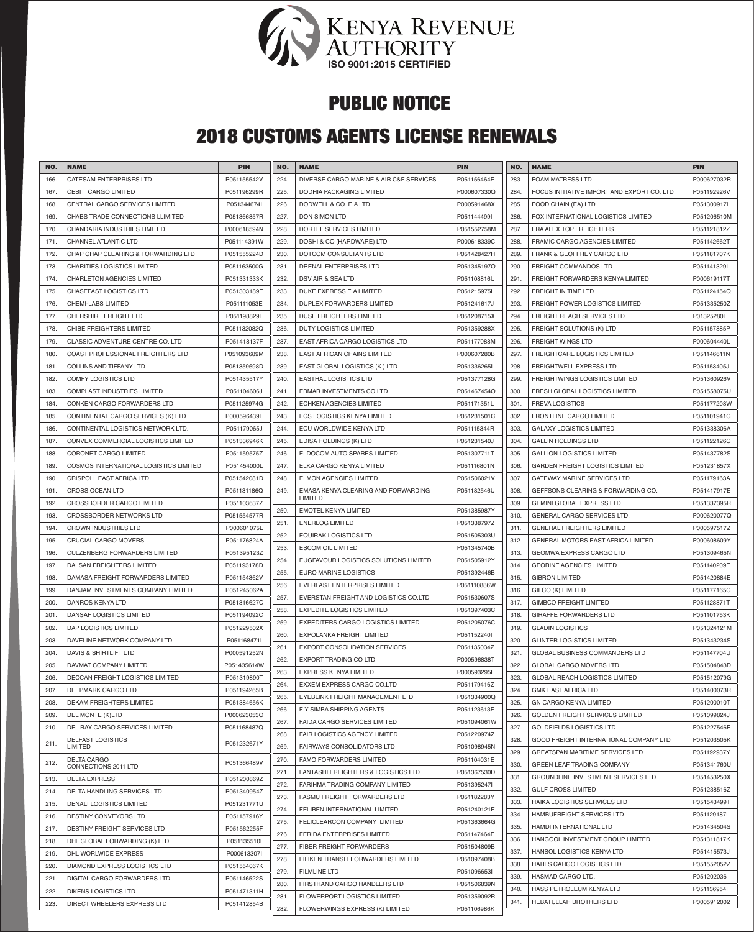

# 2018 CUSTOMS AGENTS LICENSE RENEWALS

| NO.  | <b>NAME</b>                            | <b>PIN</b>  | NO.  | <b>NAME</b>                             | <b>PIN</b>  | NO.  | <b>NAME</b>                                                      | <b>PIN</b>  |
|------|----------------------------------------|-------------|------|-----------------------------------------|-------------|------|------------------------------------------------------------------|-------------|
| 166  | <b>CATESAM ENTERPRISES LTD</b>         | P051155542V | 224. | DIVERSE CARGO MARINE & AIR C&F SERVICES | P051156464E | 283. | <b>FOAM MATRESS LTD</b>                                          | P000627032R |
| 167. | CEBIT CARGO LIMITED                    | P051196299R | 225. | DODHIA PACKAGING LIMITED                | P000607330Q | 284. | FOCUS INITIATIVE IMPORT AND EXPORT CO. LTD                       | P051192926V |
| 168. | CENTRAL CARGO SERVICES LIMITED         | P051344674  | 226. | DODWELL & CO. E.A LTD                   | P000591468X | 285. | FOOD CHAIN (EA) LTD                                              | P051300917L |
| 169. | CHABS TRADE CONNECTIONS LLIMITED       | P051366857R | 227. | <b>DON SIMON LTD</b>                    | P051144499I | 286. | FOX INTERNATIONAL LOGISTICS LIMITED                              | P051206510M |
| 170  | CHANDARIA INDUSTRIES LIMITED           | P000618594N | 228. | DORTEL SERVICES LIMITED                 | P051552758M | 287. | FRA ALEX TOP FREIGHTERS                                          | P051121812Z |
| 171  | CHANNEL ATLANTIC LTD                   | P051114391W | 229. | DOSHI & CO (HARDWARE) LTD               | P000618339C | 288. | <b>FRAMIC CARGO AGENCIES LIMITED</b>                             | P051142662T |
| 172. | CHAP CHAP CLEARING & FORWARDING LTD    | P051555224D | 230. | DOTCOM CONSULTANTS LTD                  | P051428427H | 289. | FRANK & GEOFFREY CARGO LTD                                       | P051181707K |
| 173. | <b>CHARITIES LOGISTICS LIMITED</b>     | P051163500G | 231. | <b>DRENAL ENTERPRISES LTD</b>           | P051345197O | 290. | <b>FREIGHT COMMANDOS LTD</b>                                     | P051141329I |
| 174. | <b>CHARLETON AGENCIES LIMITED</b>      | P051331333K | 232. | DSV AIR & SEA LTD                       | P051108816U | 291. | FREIGHT FORWARDERS KENYA LIMITED                                 | P000619117T |
| 175. | <b>CHASEFAST LOGISTICS LTD</b>         | P051303189E | 233. | DUKE EXPRESS E.A LIMITED                | P051215975L | 292. | <b>FREIGHT IN TIME LTD</b>                                       | P051124154Q |
| 176. | CHEMI-LABS LIMITED                     | P051111053E | 234. | DUPLEX FORWARDERS LIMITED               | P051241617J | 293. | <b>FREIGHT POWER LOGISTICS LIMITED</b>                           | P051335250Z |
| 177. | <b>CHERSHIRE FREIGHT LTD</b>           | P051198829L | 235. | DUSE FREIGHTERS LIMITED                 | P051208715X | 294. | FREIGHT REACH SERVICES LTD                                       | P01325280E  |
| 178. | CHIBE FREIGHTERS LIMITED               | P051132082Q | 236. | <b>DUTY LOGISTICS LIMITED</b>           | P051359288X | 295. | <b>FREIGHT SOLUTIONS (K) LTD</b>                                 | P051157885P |
|      |                                        |             |      |                                         |             |      |                                                                  | P000604440L |
| 179. | CLASSIC ADVENTURE CENTRE CO. LTD       | P051418137F | 237. | EAST AFRICA CARGO LOGISTICS LTD         | P051177088M | 296. | <b>FREIGHT WINGS LTD</b><br><b>FREIGHTCARE LOGISTICS LIMITED</b> |             |
| 180. | COAST PROFESSIONAL FREIGHTERS LTD      | P051093689M | 238. | EAST AFRICAN CHAINS LIMITED             | P000607280B | 297. |                                                                  | P051146611N |
| 181. | COLLINS AND TIFFANY LTD                | P051359698D | 239. | EAST GLOBAL LOGISTICS (K) LTD           | P051336265I | 298. | FREIGHTWELL EXPRESS LTD.                                         | P051153405J |
| 182. | <b>COMFY LOGISTICS LTD</b>             | P051435517Y | 240. | <b>EASTHAL LOGISTICS LTD</b>            | P051377128G | 299. | <b>FREIGHTWINGS LOGISTICS LIMITED</b>                            | P051360926V |
| 183  | <b>COMPLAST INDUSTRIES LIMITED</b>     | P051104606J | 241. | <b>EBMAR INVESTMENTS CO.LTD</b>         | P051467454O | 300. | FRESH GLOBAL LOGISTICS LIMITED                                   | P051558075U |
| 184. | CONKEN CARGO FORWARDERS LTD            | P051125974G | 242. | <b>ECHKEN AGENCIES LIMITED</b>          | P051171351L | 301. | <b>FREVA LOGISTICS</b>                                           | P051177208W |
| 185. | CONTINENTAL CARGO SERVICES (K) LTD     | P000596439F | 243. | <b>ECS LOGISTICS KENYA LIMITED</b>      | P051231501C | 302. | <b>FRONTLINE CARGO LIMITED</b>                                   | P051101941G |
| 186. | CONTINENTAL LOGISTICS NETWORK LTD.     | P051179065J | 244. | ECU WORLDWIDE KENYA LTD                 | P051115344R | 303. | <b>GALAXY LOGISTICS LIMITED</b>                                  | P051338306A |
| 187. | CONVEX COMMERCIAL LOGISTICS LIMITED    | P051336946K | 245. | EDISA HOLDINGS (K) LTD                  | P051231540J | 304. | <b>GALLIN HOLDINGS LTD</b>                                       | P051122126G |
| 188  | CORONET CARGO LIMITED                  | P051159575Z | 246. | ELDOCOM AUTO SPARES LIMITED             | P051307711T | 305. | <b>GALLION LOGISTICS LIMITED</b>                                 | P051437782S |
| 189  | COSMOS INTERNATIONAL LOGISTICS LIMITED | P051454000L | 247. | ELKA CARGO KENYA LIMITED                | P051116801N | 306. | <b>GARDEN FREIGHT LOGISTICS LIMITED</b>                          | P051231857X |
| 190  | CRISPOLL EAST AFRICA LTD               | P051542081D | 248. | <b>ELMON AGENCIES LIMITED</b>           | P051506021V | 307. | GATEWAY MARINE SERVICES LTD                                      | P051179163A |
| 191  | <b>CROSS OCEAN LTD</b>                 | P051131186Q | 249. | EMASA KENYA CLEARING AND FORWARDING     | P051182546U | 308. | GEFFSONS CLEARING & FORWARDING CO.                               | P051417917E |
| 192. | CROSSBORDER CARGO LIMITED              | P051103637Z |      | <b>LIMITED</b>                          |             | 309. | <b>GEMINI GLOBAL EXPRESS LTD</b>                                 | P051337395R |
| 193  | CROSSBORDER NETWORKS LTD               | P051554577R | 250. | <b>EMOTEL KENYA LIMITED</b>             | P051385987Y | 310. | GENERAL CARGO SERVICES LTD.                                      | P000620077Q |
| 194  | <b>CROWN INDUSTRIES LTD</b>            | P000601075L | 251. | <b>ENERLOG LIMITED</b>                  | P051338797Z | 311. | <b>GENERAL FREIGHTERS LIMITED</b>                                | P000597517Z |
| 195  | CRUCIAL CARGO MOVERS                   | P051176824A | 252. | <b>EQUIRAK LOGISTICS LTD</b>            | P051505303U | 312. | GENERAL MOTORS EAST AFRICA LIMITED                               | P000608609Y |
| 196. | <b>CULZENBERG FORWARDERS LIMITED</b>   | P051395123Z | 253. | <b>ESCOM OIL LIMITED</b>                | P051345740B | 313. | GEOMWA EXPRESS CARGO LTD                                         | P051309465N |
| 197  | DALSAN FREIGHTERS LIMITED              | P051193178D | 254. | EUGFAVOUR LOGISTICS SOLUTIONS LIMITED   | P051505912Y | 314. | <b>GEORINE AGENCIES LIMITED</b>                                  | P051140209E |
| 198. | DAMASA FREIGHT FORWARDERS LIMITED      | P051154362V | 255. | <b>EURO MARINE LOGISTICS</b>            | P051392446B | 315. | <b>GIBRON LIMITED</b>                                            | P051420884E |
| 199. | DANJAM INVESTMENTS COMPANY LIMITED     | P051245062A | 256. | <b>EVERLAST ENTERPRISES LIMITED</b>     | P051110886W | 316. | GIFCO (K) LIMITED                                                | P051177165G |
| 200. | DANROS KENYA LTD                       | P051316627C | 257. | EVERSTAN FREIGHT AND LOGISTICS CO.LTD   | P051530607S | 317. | <b>GIMBCO FREIGHT LIMITED</b>                                    | P051128871T |
| 201. | DANSAF LOGISTICS LIMITED               | P051194092C | 258. | <b>EXPEDITE LOGISTICS LIMITED</b>       | P051397403C | 318. | <b>GIRAFFE FORWARDERS LTD</b>                                    | P051101753K |
| 202. | <b>DAP LOGISTICS LIMITED</b>           | P051229502X | 259. | EXPEDITERS CARGO LOGISTICS LIMITED      | P051205076C | 319. | <b>GLADIN LOGISTICS</b>                                          | P051324121M |
| 203. | DAVELINE NETWORK COMPANY LTD           | P051168471I | 260. | EXPOLANKA FREIGHT LIMITED               | P051152240I | 320. | <b>GLINTER LOGISTICS LIMITED</b>                                 | P051343234S |
| 204. | DAVIS & SHIRTLIFT LTD                  | P000591252N | 261. | <b>EXPORT CONSOLIDATION SERVICES</b>    | P051135034Z | 321. | GLOBAL BUSINESS COMMANDERS LTD                                   | P051147704U |
| 205. | DAVMAT COMPANY LIMITED                 | P051435614W | 262. | EXPORT TRADING CO LTD                   | P000596838T | 322. | GLOBAL CARGO MOVERS LTD                                          | P051504843D |
| 206. | DECCAN FREIGHT LOGISTICS LIMITED       | P051319890T | 263. | <b>EXPRESS KENYA LIMITED</b>            | P000593295F | 323. | <b>GLOBAL REACH LOGISTICS LIMITED</b>                            | P051512079G |
| 207. | DEEPMARK CARGO LTD                     | P051194265B | 264. | EXXEM EXPRESS CARGO CO.LTD              | P051179416Z | 324. | <b>GMK EAST AFRICA LTD</b>                                       | P051400073R |
|      |                                        | P051384656K | 265. | EYEBLINK FREIGHT MANAGEMENT LTD         | P051334900Q |      |                                                                  |             |
| 208. | DEKAM FREIGHTERS LIMITED               |             | 266. | F Y SIMBA SHIPPING AGENTS               | P051123613F | 325. | <b>GN CARGO KENYA LIMITED</b>                                    | P051200010T |
| 209. | DEL MONTE (K)LTD                       | P000623053O | 267. | <b>FAIDA CARGO SERVICES LIMITED</b>     | P051094061W | 326. | <b>GOLDEN FREIGHT SERVICES LIMITED</b>                           | P051099824J |
| 210. | DEL RAY CARGO SERVICES LIMITED         | P051168487Q | 268. | FAIR LOGISTICS AGENCY LIMITED           | P051220974Z | 327. | <b>GOLDFIELDS LOGISTICS LTD</b>                                  | P051227546F |
| 211. | <b>DELFAST LOGISTICS</b><br>LIMITED    | P051232671Y | 269. | FAIRWAYS CONSOLIDATORS LTD              | P051098945N | 328. | GOOD FREIGHT INTERNATIONAL COMPANY LTD                           | P051203505K |
|      | <b>DELTA CARGO</b>                     | P051366489V | 270. | FAMO FORWARDERS LIMITED                 | P051104031E | 329. | GREATSPAN MARITIME SERVICES LTD                                  | P051192937Y |
| 212. | CONNECTIONS 2011 LTD                   |             | 271. | FANTASHI FREIGHTERS & LOGISTICS LTD     | P051367530D | 330. | GREEN LEAF TRADING COMPANY                                       | P051341760U |
| 213. | <b>DELTA EXPRESS</b>                   | P051200869Z | 272. | FARIHMA TRADING COMPANY LIMITED         | P051395247I | 331. | GROUNDLINE INVESTMENT SERVICES LTD                               | P051453250X |
| 214. | DELTA HANDLING SERVICES LTD            | P051340954Z | 273. | FASMU FREIGHT FORWARDERS LTD            | P051182283Y | 332. | <b>GULF CROSS LIMITED</b>                                        | P051238516Z |
| 215. | <b>DENALI LOGISTICS LIMITED</b>        | P051231771U | 274. | FELIBEN INTERNATIONAL LIMITED           | P051240121E | 333. | HAIKA LOGISTICS SERVICES LTD                                     | P051543499T |
| 216. | <b>DESTINY CONVEYORS LTD</b>           | P051157916Y | 275. | FELICLEARCON COMPANY LIMITED            | P051363664G | 334. | HAMBUFREIGHT SERVICES LTD                                        | P051129187L |
| 217. | DESTINY FREIGHT SERVICES LTD           | P051562255F | 276. | <b>FERIDA ENTERPRISES LIMITED</b>       | P051147464F | 335. | HAMDI INTERNATIONAL LTD                                          | P051434504S |
| 218. | DHL GLOBAL FORWARDING (K) LTD.         | P051135510I | 277. | FIBER FREIGHT FORWARDERS                | P051504809B | 336. | HANGOOL INVESTMENT GROUP LIMITED                                 | P051311817K |
| 219. | DHL WORLWIDE EXPRESS                   | P000613307I | 278. | FILIKEN TRANSIT FORWARDERS LIMITED      | P051097408B | 337. | HANSOL LOGISTICS KENYA LTD                                       | P051415573J |
| 220. | DIAMOND EXPRESS LOGISTICS LTD          | P051554067K |      |                                         |             | 338. | HARLS CARGO LOGISTICS LTD                                        | P051552052Z |
| 221. | DIGITAL CARGO FORWARDERS LTD           | P051146522S | 279. | <b>FILMLINE LTD</b>                     | P051096653I | 339. | HASMAD CARGO LTD.                                                | P051202036  |
| 222. | <b>DIKENS LOGISTICS LTD</b>            | P051471311H | 280. | FIRSTHAND CARGO HANDLERS LTD            | P051506839N | 340. | HASS PETROLEUM KENYA LTD                                         | P051136954F |
| 223. | DIRECT WHEELERS EXPRESS LTD            | P051412854B | 281. | FLOWERPORT LOGISTICS LIMITED            | P051359092R | 341. | HEBATULLAH BROTHERS LTD                                          | P0005912002 |
|      |                                        |             | 282. | FLOWERWINGS EXPRESS (K) LIMITED         | P051106986K |      |                                                                  |             |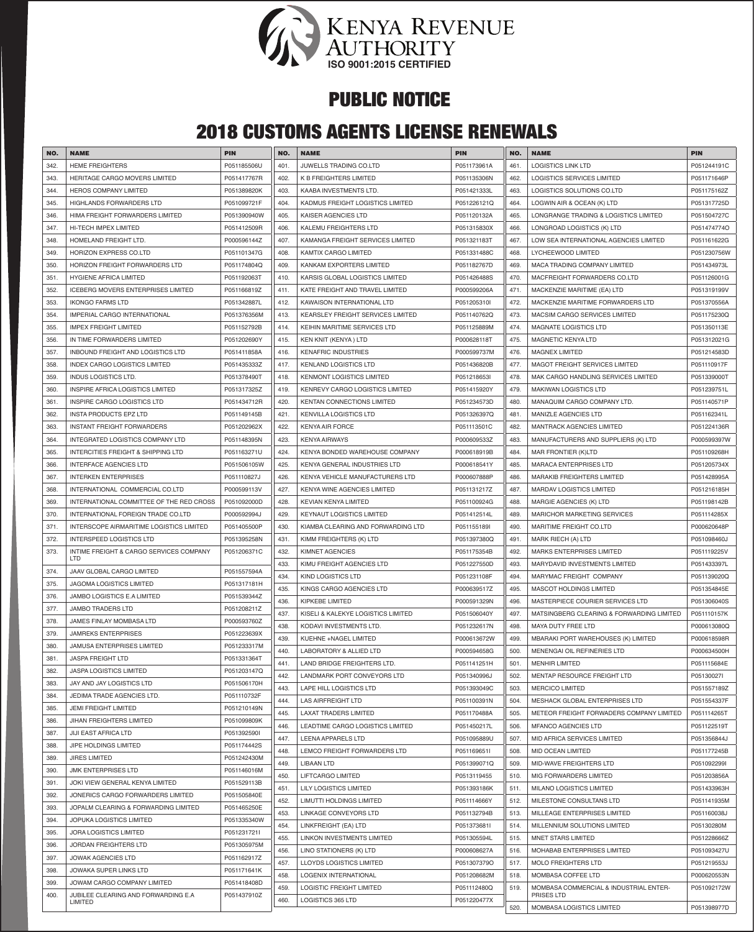

### 2018 CUSTOMS AGENTS LICENSE RENEWALS

| NO.  | <b>NAME</b>                                    | <b>PIN</b>  | NO.  | <b>NAME</b>                              | <b>PIN</b>  | NO.  | <b>NAME</b>                               | <b>PIN</b>                 |
|------|------------------------------------------------|-------------|------|------------------------------------------|-------------|------|-------------------------------------------|----------------------------|
| 342. | <b>HEME FREIGHTERS</b>                         | P051185506U | 401. | JUWELLS TRADING CO.LTD                   | P051173961A | 461  | <b>LOGISTICS LINK LTD</b>                 | P051244191C                |
| 343. | HERITAGE CARGO MOVERS LIMITED                  |             | 402. | K B FREIGHTERS LIMITED                   | P051135306N | 462. | <b>LOGISTICS SERVICES LIMITED</b>         | P051171646P                |
| 344. |                                                | P051417767R |      |                                          |             |      |                                           |                            |
|      | <b>HEROS COMPANY LIMITED</b>                   | P051389820K | 403. | KAABA INVESTMENTS LTD                    | P051421333L | 463. | LOGISTICS SOLUTIONS CO.LTD                | P051175162Z<br>P051317725D |
| 345  | HIGHLANDS FORWARDERS LTD                       | P051099721F | 404. | KADMUS FREIGHT LOGISTICS LIMITED         | P051226121Q | 464. | LOGWIN AIR & OCEAN (K) LTD                |                            |
| 346. | HIMA FREIGHT FORWARDERS LIMITED                | P051390940W | 405. | KAISER AGENCIES LTD                      | P051120132A | 465. | LONGRANGE TRADING & LOGISTICS LIMITED     | P051504727C                |
| 347. | HI-TECH IMPEX LIMITED                          | P051412509R | 406. | KALEMU FREIGHTERS LTD                    | P051315830X | 466. | LONGROAD LOGISTICS (K) LTD                | P051474774O                |
| 348. | HOMELAND FREIGHT LTD.                          | P000596144Z | 407. | KAMANGA FREIGHT SERVICES LIMITED         | P051321183T | 467. | LOW SEA INTERNATIONAL AGENCIES LIMITED    | P051161622G                |
| 349. | HORIZON EXPRESS CO.LTD                         | P051101347G | 408. | KAMTIX CARGO LIMITED                     | P051331488C | 468. | LYCHEEWOOD LIMITED                        | P051230756W                |
| 350. | HORIZON FREIGHT FORWARDERS LTD                 | P051174804Q | 409. | KANKAM EXPORTERS LIMITED                 | P051182767D | 469. | MACA TRADING COMPANY LIMITED              | P051434973L                |
| 351  | <b>HYGIENE AFRICA LIMITED</b>                  | P051192063T | 410. | KARSIS GLOBAL LOGISTICS LIMITED          | P051426488S | 470. | MACFREIGHT FORWARDERS CO.LTD              | P051126001G                |
| 352. | <b>ICEBERG MOVERS ENTERPRISES LIMITED</b>      | P051166819Z | 411. | KATE FREIGHT AND TRAVEL LIMITED          | P000599206A | 471. | MACKENZIE MARITIME (EA) LTD               | P051319199V                |
| 353  | <b>IKONGO FARMS LTD</b>                        | P051342887L | 412. | KAWAISON INTERNATIONAL LTD               | P051205310I | 472. | MACKENZIE MARITIME FORWARDERS LTD         | P051370556A                |
| 354  | IMPERIAL CARGO INTERNATIONAL                   | P051376356M | 413. | <b>KEARSLEY FREIGHT SERVICES LIMITED</b> | P051140762Q | 473. | MACSIM CARGO SERVICES LIMITED             | P051175230Q                |
| 355. | <b>IMPEX FREIGHT LIMITED</b>                   | P051152792B | 414. | KEIHIN MARITIME SERVICES LTD             | P051125889M | 474. | <b>MAGNATE LOGISTICS LTD</b>              | P051350113E                |
| 356. | IN TIME FORWARDERS LIMITED                     | P051202690Y | 415. | KEN KNIT (KENYA) LTD                     | P000628118T | 475. | <b>MAGNETIC KENYA LTD</b>                 | P051312021G                |
| 357  | INBOUND FREIGHT AND LOGISTICS LTD              | P051411858A | 416. | <b>KENAFRIC INDUSTRIES</b>               | P000599737M | 476. | <b>MAGNEX LIMITED</b>                     | P051214583D                |
| 358. | <b>INDEX CARGO LOGISTICS LIMITED</b>           | P051435333Z | 417. | <b>KENLAND LOGISTICS LTD</b>             | P051436820B | 477. | <b>MAGOT FREIGHT SERVICES LIMITED</b>     | P051110917F                |
| 359  | <b>INDUS LOGISTICS LTD.</b>                    | P051378490T | 418. | <b>KENMONT LOGISTICS LIMITED</b>         | P051218653I | 478. | MAK CARGO HANDLING SERVICES LIMITED       | P051339000T                |
| 360  | INSPIRE AFRICA LOGISTICS LIMITED               | P051317325Z | 419. | KENREVY CARGO LOGISTICS LIMITED          | P051415920Y | 479. | <b>MAKIWAN LOGISTICS LTD</b>              | P051239751L                |
| 361  | INSPIRE CARGO LOGISTICS LTD                    | P051434712R | 420. | <b>KENTAN CONNECTIONS LIMITED</b>        | P051234573D | 480. | MANAQUIM CARGO COMPANY LTD.               | P051140571P                |
| 362. | <b>INSTA PRODUCTS EPZ LTD</b>                  | P051149145B | 421. | <b>KENVILLA LOGISTICS LTD</b>            | P051326397Q | 481. | MANIZLE AGENCIES LTD                      | P051162341L                |
| 363  | <b>INSTANT FREIGHT FORWARDERS</b>              | P051202962X | 422. | <b>KENYA AIR FORCE</b>                   | P051113501C | 482. | <b>MANTRACK AGENCIES LIMITED</b>          | P051224136R                |
| 364  | INTEGRATED LOGISTICS COMPANY LTD               | P051148395N | 423. | <b>KENYA AIRWAYS</b>                     | P000609533Z | 483. | MANUFACTURERS AND SUPPLIERS (K) LTD       | P000599397W                |
| 365  | INTERCITIES FREIGHT & SHIPPING LTD             | P051163271U | 424. | KENYA BONDED WAREHOUSE COMPANY           | P000618919B | 484. | MAR FRONTIER (K)LTD                       | P051109268H                |
| 366  | <b>INTERFACE AGENCIES LTD</b>                  | P051506105W | 425. | KENYA GENERAL INDUSTRIES LTD             | P000618541Y | 485. | <b>MARACA ENTERPRISES LTD</b>             | P051205734X                |
| 367. | <b>INTERKEN ENTERPRISES</b>                    | P051110827J | 426. | KENYA VEHICLE MANUFACTURERS LTD          | P000607888P | 486. | <b>MARAKIB FREIGHTERS LIMITED</b>         | P051428995A                |
| 368  | INTERNATIONAL COMMERCIAL CO.LTD                | P000599113V | 427. | KENYA WINE AGENCIES LIMITED              | P051131217Z | 487. | <b>MARDAV LOGISTICS LIMITED</b>           | P051216185H                |
| 369  | INTERNATIONAL COMMITTEE OF THE RED CROSS       | P051092000D | 428. | <b>KEVIAN KENYA LIMITED</b>              | P051100924G | 488. | MARGIE AGENCIES (K) LTD                   | P051198142B                |
| 370. | INTERNATIONAL FOREIGN TRADE CO.LTD             | P000592994J | 429. | <b>KEYNAUT LOGISTICS LIMITED</b>         | P051412514L | 489. | <b>MARICHOR MARKETING SERVICES</b>        | P051114285X                |
| 371. | INTERSCOPE AIRMARITIME LOGISTICS LIMITED       | P051405500P | 430. | KIAMBA CLEARING AND FORWARDING LTD       | P051155189I | 490. | MARITIME FREIGHT CO.LTD                   | P000620648P                |
| 372. | <b>INTERSPEED LOGISTICS LTD</b>                | P051395258N | 431. | KIMM FREIGHTERS (K) LTD                  | P051397380Q | 491. | MARK RIECH (A) LTD                        | P051098460J                |
| 373. | INTIME FREIGHT & CARGO SERVICES COMPANY        | P051206371C | 432. | <b>KIMNET AGENCIES</b>                   | P051175354B | 492. | <b>MARKS ENTERPRISES LIMITED</b>          | P051119225V                |
|      | <b>LTD</b>                                     |             | 433. | KIMU FREIGHT AGENCIES LTD                | P051227550D | 493. | MARYDAVID INVESTMENTS LIMITED             | P051433397L                |
| 374. | JAAV GLOBAL CARGO LIMITED                      | P051557594A | 434. | <b>KIND LOGISTICS LTD</b>                | P051231108F | 494. | MARYMAC FREIGHT COMPANY                   | P051139020Q                |
| 375. | <b>JAGOMA LOGISTICS LIMITED</b>                | P051317181H | 435. | KINGS CARGO AGENCIES LTD                 | P000639517Z | 495. | MASCOT HOLDINGS LIMITED                   | P051354845E                |
| 376. | JAMBO LOGISTICS E.A LIMITED                    | P051539344Z | 436. | <b>KIPKEBE LIMITED</b>                   | P000591329N | 496. | MASTERPIECE COURIER SERVICES LTD          | P051306040S                |
| 377. | <b>JAMBO TRADERS LTD</b>                       | P051208211Z | 437. | KISELI & KALEKYE LOGISTICS LIMITED       | P051506040Y | 497. | MATSINGBERG CLEARING & FORWARDING LIMITED | P051110157K                |
| 378. | JAMES FINLAY MOMBASA LTD                       | P000593760Z | 438. | KODAVI INVESTMENTS LTD.                  | P051232617N | 498. | MAYA DUTY FREE LTD                        | P000613080Q                |
| 379. | <b>JAMREKS ENTERPRISES</b>                     | P051223639X | 439. | KUEHNE +NAGEL LIMITED                    | P000613672W | 499. | MBARAKI PORT WAREHOUSES (K) LIMITED       | P000618598R                |
| 380. | JAMUSA ENTERPRISES LIMITED                     | P051233317M | 440. | LABORATORY & ALLIED LTD                  | P000594658G | 500. | MENENGAI OIL REFINERIES LTD               | P000634500H                |
| 381  | <b>JASPA FREIGHT LTD</b>                       | P051331364T | 441. | LAND BRIDGE FREIGHTERS LTD.              | P051141251H | 501. | <b>MENHIR LIMITED</b>                     | P051115684E                |
| 382. | <b>JASPA LOGISTICS LIMITED</b>                 | P051203147Q | 442. | LANDMARK PORT CONVEYORS LTD              | P051340996J | 502. | MENTAP RESOURCE FREIGHT LTD               | P05130027I                 |
| 383. | JAY AND JAY LOGISTICS LTD                      | P051506170H | 443. | LAPE HILL LOGISTICS LTD                  | P051393049C | 503. | <b>MERCICO LIMITED</b>                    | P051557189Z                |
| 384. | JEDIMA TRADE AGENCIES LTD.                     | P051110732F | 444. | <b>LAS AIRFREIGHT LTD</b>                | P051100391N | 504. | MESHACK GLOBAL ENTERPRISES LTD            | P051554337F                |
| 385. | <b>JEMI FREIGHT LIMITED</b>                    | P051210149N | 445. | <b>LAXAT TRADERS LIMITED</b>             | P051170488A | 505. | METEOR FREIGHT FORWADERS COMPANY LIMITED  | P051114265T                |
| 386. | <b>JIHAN FREIGHTERS LIMITED</b>                | P051099809K | 446. | LEADTIME CARGO LOGISTICS LIMITED         | P051450217L | 506. | <b>MFANCO AGENCIES LTD</b>                | P051122519T                |
| 387  | JIJI EAST AFRICA LTD                           | P051392590I | 447. | LEENA APPARELS LTD                       | P051095889U | 507. | MID AFRICA SERVICES LIMITED               | P051356844J                |
| 388. | JIPE HOLDINGS LIMITED                          | P051174442S | 448. | LEMCO FREIGHT FORWARDERS LTD             | P051169651I | 508. | <b>MID OCEAN LIMITED</b>                  | P051177245B                |
| 389. | <b>JIRES LIMITED</b>                           | P051242430M | 449. | <b>LIBAAN LTD</b>                        | P051399071Q | 509. | MID-WAVE FREIGHTERS LTD                   | P051092299I                |
| 390. | <b>JMK ENTERPRISES LTD</b>                     | P051146016M | 450. | LIFTCARGO LIMITED                        | P0513119455 | 510. | MIG FORWARDERS LIMITED                    | P051203856A                |
| 391. | JOKI VIEW GENERAL KENYA LIMITED                | P051529113B | 451. | <b>LILY LOGISTICS LIMITED</b>            | P051393186K | 511. | <b>MILANO LOGISTICS LIMITED</b>           | P051433963H                |
| 392. | JONERICS CARGO FORWARDERS LIMITED              | P051505840E | 452. | LIMUTTI HOLDINGS LIMITED                 | P051114666Y | 512. | MILESTONE CONSULTANS LTD                  | P051141935M                |
| 393. | JOPALM CLEARING & FORWARDING LIMITED           | P051465250E | 453. | LINKAGE CONVEYORS LTD                    | P051132794B | 513. | MILLEAGE ENTERPRISES LIMITED              | P051160038J                |
| 394. | JOPUKA LOGISTICS LIMITED                       | P051335340W | 454. | LINKFREIGHT (EA) LTD                     | P051373681I | 514. | MILLENNIUM SOLUTIONS LIMITED              | P05130280M                 |
| 395. | <b>JORA LOGISTICS LIMITED</b>                  | P051231721I | 455. | LINKON INVESTMENTS LIMITED               | P051305594L | 515. | MNET STARS LIMITED                        | P051228666Z                |
| 396. | <b>JORDAN FREIGHTERS LTD</b>                   | P051305975M | 456. | LINO STATIONERS (K) LTD                  | P000608627A | 516. | MOHABAB ENTERPRISES LIMITED               | P051093427U                |
| 397. | <b>JOWAK AGENCIES LTD</b>                      | P051162917Z | 457. | <b>LLOYDS LOGISTICS LIMITED</b>          | P051307379O | 517. | <b>MOLO FREIGHTERS LTD</b>                | P051219553J                |
| 398. | JOWAKA SUPER LINKS LTD                         | P051171641K | 458. | LOGENIX INTERNATIONAL                    | P051208682M | 518. | MOMBASA COFFEE LTD                        | P000620553N                |
| 399. | JOWAM CARGO COMPANY LIMITED                    | P051418408D | 459. | <b>LOGISTIC FREIGHT LIMITED</b>          | P051112480Q | 519. | MOMBASA COMMERCIAL & INDUSTRIAL ENTER-    | P051092172W                |
| 400. | JUBILEE CLEARING AND FORWARDING E.A<br>LIMITED | P051437910Z | 460. | <b>LOGISTICS 365 LTD</b>                 | P051220477X |      | PRISES LTD                                |                            |
|      |                                                |             |      |                                          |             | 520. | MOMBASA LOGISTICS LIMITED                 | P051398977D                |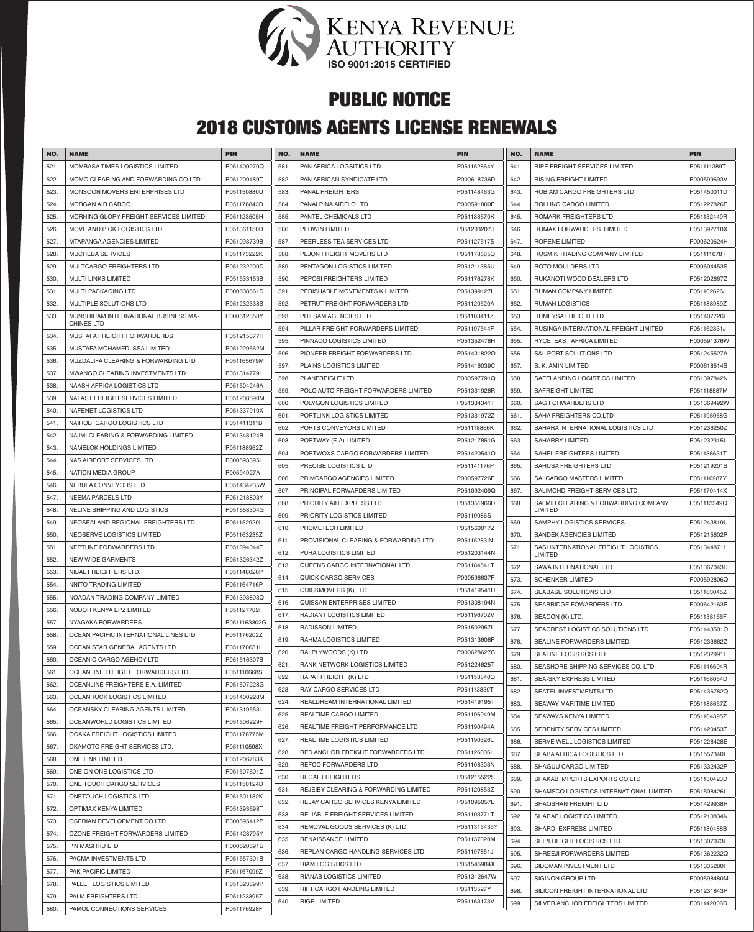

### 2018 CUSTOMS AGENTS LICENSE RENEWALS

| NO.  | <b>NAME</b>                            | <b>PIN</b>   | NO.          | <b>NAME</b>                                                    | <b>PIN</b>                 | NO.  | <b>NAME</b>                                       | <b>PIN</b>  |
|------|----------------------------------------|--------------|--------------|----------------------------------------------------------------|----------------------------|------|---------------------------------------------------|-------------|
| 521. | MOMBASA TIMES LOGISTICS LIMITED        | P051400270Q  | 581.         | PAN AFRICA LOGSITICS LTD                                       | P051152864Y                | 641. | RIPE FREIGHT SERVICES LIMITED                     | P051111389T |
| 522. | MOMO CLEARING AND FORWARDING CO.LTD    | P051209489T  | 582.         | PAN AFRICAN SYNDICATE LTD                                      | P000618736D                | 642. | <b>RISING FREIGHT LIMITED</b>                     | P000599693V |
|      |                                        |              |              |                                                                |                            |      |                                                   |             |
| 523. | MONSOON MOVERS ENTERPRISES LTD         | P051150880U  | 583.         | PANAL FREIGHTERS                                               | P051148463G                | 643. | ROBIAM CARGO FREIGHTERS LTD                       | P051450011D |
| 524. | <b>MORGAN AIR CARGO</b>                | P051176843D  | 584.         | PANALPINA AIRFLO LTD                                           | P000591800F                | 644. | ROLLING CARGO LIMITED                             | P051227826E |
| 525. | MORNING GLORY FREIGHT SERVICES LIMITED | P051123505H  | 585.         | PANTEL CHEMICALS LTD                                           | P051138670K                | 645. | ROMARK FREIGHTERS LTD                             | P051132449R |
| 526. | MOVE AND PICK LOGISTICS LTD            | P051361150D  | 586.         | <b>PEDWIN LIMITED</b>                                          | P051203207J                | 646. | ROMAX FORWARDERS LIMITED                          | P051392718X |
| 527. | MTAPANGA AGENCIES LIMITED              | P051093739B  | 587.         | PEERLESS TEA SERVICES LTD                                      | P051127517S                | 647. | RORENE LIMITED                                    | P000620624H |
| 528. | <b>MUCHEBA SERVICES</b>                | P051173222K  | 588.         | PEJON FREIGHT MOVERS LTD                                       | P051178585Q                | 648. | ROSMIK TRADING COMPANY LIMITED                    | P051111678T |
| 529. | MULTCARGO FREIGHTERS LTD               | P051232200D  | 589.         | PENTAGON LOGISTICS LIMITED                                     | P051211385U                | 649. | ROTO MOULDERS LTD                                 | P000604453S |
| 530. | <b>MULTI LINKS LIMITED</b>             | P051533153B  | 590.         | PEPOSI FREIGHTERS LIMITED                                      | P051176278K                | 650. | RUKANOTI WOOD DEALERS LTD                         | P051202667Z |
| 531. | MULTI PACKAGING LTD                    | P000608561D  | 591.         | PERISHABLE MOVEMENTS K.LIMITED                                 | P051399127L                | 651. | RUMAN COMPANY LIMITED                             | P051102626J |
| 532. | MULTIPLE SOLUTIONS LTD                 | P051232338S  | 592.         | PETRUT FREIGHT FORWARDERS LTD                                  | P051120520A                | 652. | <b>RUMAN LOGISTICS</b>                            | P051188989Z |
| 533. | MUNSHIRAM INTERNATIONAL BUSINESS MA-   | P000612858Y  | 593.         | PHILSAM AGENCIES LTD                                           | P051103411Z                | 653. | RUMEYSA FREIGHT LTD                               | P051407726F |
|      | <b>CHINES LTD</b>                      |              | 594.         | PILLAR FREIGHT FORWARDERS LIMITED                              | P051197544F                | 654. | RUSINGA INTERNATIONAL FREIGHT LIMITED             | P051162331J |
| 534. | MUSTAFA FREIGHT FORWARDERDS            | P051215377H  | 595.         | PINNACO LOGISTICS LIMITED                                      | P051352478H                | 655. | RYCE EAST AFRICA LIMITED                          | P000591376W |
| 535. | MUSTAFA MOHAMED ISSA LIMITED           | P051229662M  | 596.         | PIONEER FREIGHT FORWARDERS LTD                                 | P051431822O                | 656. | <b>S&amp;L PORT SOLUTIONS LTD</b>                 | P051245527A |
| 536. | MUZDALIFA CLEARING & FORWARDING LTD    | P051165679M  | 597.         | <b>PLAINS LOGISTICS LIMITED</b>                                | P051416039C                | 657. | S. K. AMIN LIMITED                                | P000618514S |
| 537  | MWANGO CLEARING INVESTMENTS LTD        | P051314779L  | 598.         | PLANFREIGHT LTD                                                | P000597791Q                | 658. | SAFELANDING LOGISTICS LIMITED                     | P051397842N |
| 538. | NAASH AFRICA LOGISTICS LTD             | P051504246A  | 599.         | POLO AUTO FREIGHT FORWARDERS LIMITED                           | P051331926R                | 659. | <b>SAFREIGHT LIMITED</b>                          | P051118587M |
| 539. | NAFAST FREIGHT SERVICES LIMITED        | P051208690M  | 600.         | POLYGON LOGISTICS LIMITED                                      | P051334341T                | 660. | SAG FORWARDERS LTD                                | P051369492W |
| 540. | NAFENET LOGISTICS LTD                  | P051337910X  | 601.         | PORTLINK LOGISTICS LIMITED                                     | P051331972Z                | 661. | SAHA FREIGHTERS CO.LTD                            | P051195068G |
| 541. | NAIROBI CARGO LOGISTICS LTD            | P051411311B  | 602.         | PORTS CONVEYORS LIMITED                                        | P051118866K                | 662. | SAHARA INTERNATIONAL LOGISTICS LTD                | P051236250Z |
| 542. | NAJMI CLEARING & FORWARDING LIMITED    | P051348124B  | 603.         |                                                                | P051217851G                | 663. | <b>SAHARRY LIMITED</b>                            | P051232315I |
| 543. | NAMELOK HOLDINGS LIMITED               | P051188962Z  |              | PORTWAY (E.A) LIMITED                                          |                            |      |                                                   |             |
| 544. | NAS AIRPORT SERVICES LTD.              | P000593895L  | 604.         | PORTWOXS CARGO FORWARDERS LIMITED                              | P051420541O                | 664. | SAHEL FREIGHTERS LIMITED                          | P051136631T |
| 545. | <b>NATION MEDIA GROUP</b>              | P00594927A   | 605.         | PRECISE LOGISTICS LTD.                                         | P051141176P                | 665. | SAHUSA FREIGHTERS LTD                             | P051219201S |
| 546. | NEBULA CONVEYORS LTD                   | P051434235W  | 606.         | PRIMCARGO AGENCIES LIMITED                                     | P000597726F                | 666. | SAI CARGO MASTERS LIMITED                         | P051110987Y |
| 547. | <b>NEEMA PARCELS LTD</b>               | P051218803Y  | 607.         | PRINCIPAL FORWARDERS LIMITED                                   | P051092409Q                | 667. | SALIMOND FREIGHT SERVICES LTD                     | P051179414X |
| 548. | NELINE SHIPPING AND LOGISTICS          | P051558304G  | 608.         | PRIORITY AIR EXPRESS LTD                                       | P051351966D                | 668. | SALMIR CLEARING & FORWARDING COMPANY<br>LIMITED   | P051113349Q |
| 549. | NEOSEALAND REGIONAL FREIGHTERS LTD     | P051152920L  | 609.         | PRIORITY LOGISTICS LIMITED                                     | P05110086S                 | 669. | SAMPHY LOGISTICS SERVICES                         | P051243819U |
| 550. | <b>NEOSERVE LOGISTICS LIMITED</b>      | P051163235Z  | 610.         | PROMETECH LIMITED                                              | P051560017Z                | 670. | <b>SANDEK AGENCIES LIMITED</b>                    | P051215602P |
| 551. | NEPTUNE FORWARDERS LTD.                | P051094044T  | 611.         | PROVISIONAL CLEARING & FORWARDING LTD                          | P05115283IN                | 671. | SASI INTERNATIONAL FREIGHT LOGISTICS              | P051344871H |
|      | <b>NEW WIDE GARMENTS</b>               |              | 612.         | PURA LOGISTICS LIMITED                                         | P051203144N                |      | <b>LIMITED</b>                                    |             |
| 552. |                                        | P051326342Z  | 613.         | QUEENS CARGO INTERNATIONAL LTD                                 | P051184541T                | 672. | SAWA INTERNATIONAL LTD                            | P051367043D |
| 553. | NIBAL FREIGHTERS LTD.                  | P051148020P  | 614.         | <b>QUICK CARGO SERVICES</b>                                    | P000596637F                | 673. | <b>SCHENKER LIMITED</b>                           | P000592806Q |
| 554. | NNITO TRADING LIMITED                  | P051164716P  | 615.         | QUICKMOVERS (K) LTD                                            | P051419541H                | 674. | SEABASE SOLUTIONS LTD                             | P051163045Z |
| 555. | NOADAN TRADING COMPANY LIMITED         | P051393893Q  | 616.         | <b>QUISSAN ENTERPRISES LIMITED</b>                             | P051308194N                | 675. | SEABRIDGE FOWARDERS LTD                           | P000642163R |
| 556. | NODOR KENYA EPZ LIMITED                | P051127782I  | 617.         | RADIANT LOGISTICS LIMITED                                      | P051196702V                | 676. | SEACON (K) LTD.                                   | P051138166F |
| 557. | NYAGAKA FORWARDERS                     | P0511163302G | 618.         | RADISSON LIMITED                                               | P051502957I                | 677. | SEACREST LOGISTICS SOLUTIONS LTD                  | P051443501O |
| 558. | OCEAN PACIFIC INTERNATIONAL LINES LTD  | P051176202Z  | 619.         | RAHMA LOGISTICS LIMITED                                        | P051313606P                | 678. | SEALINE FORWARDERS LIMITED                        | P051233662Z |
| 559. | OCEAN STAR GENERAL AGENTS LTD          | P051170631I  | 620.         | RAI PLYWOODS (K) LTD                                           | P000628627C                | 679. | SEALINE LOGISTICS LTD                             | P051232991F |
| 560. | OCEANIC CARGO AGENCY LTD               | P051516307B  | 621.         | RANK NETWORK LOGISTICS LIMITED                                 | P051224625T                | 680. | SEASHORE SHIPPING SERVICES CO. LTD                | P051146604R |
| 561. | OCEANLINE FREIGHT FORWARDERS LTD       | P051110668S  | 622.         | RAPAT FREIGHT (K) LTD                                          | P051153840Q                | 681. |                                                   | P051168054D |
| 562. | OCEANLINE FREIGHTERS E.A. LIMITED      | P051507228G  | 623.         | RAY CARGO SERVICES LTD                                         | P051113839T                |      | SEA-SKY EXPRESS LIMITED<br>SEATEL INVESTMENTS LTD |             |
| 563. | OCEANROCK LOGISTICS LIMITED            | P051400228M  | 624.         | REALDREAM INTERNATIONAL LIMITED                                | P051419195T                | 682. |                                                   | P051436782Q |
| 564. | OCEANSKY CLEARING AGENTS LIMITED       | P051319553L  | 625.         | REALTIME CARGO LIMITED                                         | P051196949M                | 683. | SEAWAY MARITIME LIMITED                           | P051188657Z |
| 565. | OCEANWORLD LOGISTICS LIMITED           | P051506229F  |              |                                                                |                            | 684. | <b>SEAWAYS KENYA LIMITED</b>                      | P051104395Z |
| 566. | OGAKA FREIGHT LOGISTICS LIMITED        | P051176775M  | 626.<br>627. | REALTIME FREIGHT PERFORMANCE LTD<br>REALTIME LOGISTICS LIMITED | P051190494A<br>P051190326L | 685. | SERENITY SERVICES LIMITED                         | P051420453T |
| 567. | OKAMOTO FREIGHT SERVICES LTD.          | P051110598X  |              |                                                                |                            | 686. | SERVE WELL LOGISTICS LIMITED                      | P051228428E |
| 568. | ONE LINK LIMITED                       | P051206783K  | 628.         | RED ANCHOR FREIGHT FORWARDERS LTD                              | P051126006L                | 687. | SHABA AFRICA LOGISTICS LTD                        | P051557340I |
| 569. | ONE ON ONE LOGISTICS LTD               | P051507601Z  | 629.         | REFCO FORWARDERS LTD                                           | P051108303N                | 688. | SHAGUU CARGO LIMITED                              | P051332432P |
| 570. | ONE TOUCH CARGO SERVICES               | P051150124D  | 630.         | <b>REGAL FREIGHTERS</b>                                        | P051215522S                | 689. | SHAKAB IMPORTS EXPORTS CO.LTD                     | P051130423D |
| 571. | ONETOUCH LOGISTICS LTD                 | P051501132K  | 631.         | REJEIBY CLEARING & FORWARDING LIMITED                          | P051120853Z                | 690. | SHAMSCO LOGISTICS INTERNATIONAL LIMITED           | P051508426I |
| 572. | OPTIMAX KENYA LIMITED                  | P051393698T  | 632.         | RELAY CARGO SERVICES KENYA LIMITED                             | P051095057E                | 691. | SHAQSHAN FREIGHT LTD                              | P051429938R |
| 573. | OSERIAN DEVELOPMENT CO.LTD             | P000595412P  | 633.         | RELIABLE FREIGHT SERVICES LIMITED                              | P051103771T                | 692. | SHARAF LOGISTICS LIMITED                          | P051210834N |
| 574. | OZONE FREIGHT FORWARDERS LIMITED       | P051428795Y  | 634.         | REMOVAL GOODS SERVICES (K) LTD                                 | P0511315435Y               | 693. | SHARDI EXPRESS LIMITED                            | P051180488B |
| 575. | P.N MASHRU LTD                         | P000620691U  | 635.         | RENAISSANCE LIMITED                                            | P051137020M                | 694. | SHIPFREIGHT LOGISTICS LTD                         | P051307073F |
| 576. | PACMA INVESTMENTS LTD                  | P051557301B  | 636.         | REPLAN CARGO HANDLING SERVICES LTD                             | P051197851J                | 695. | SHREEJI FORWARDERS LIMITED                        | P051362232Q |
|      |                                        |              | 637.         | RIAM LOGISTICS LTD                                             | P051545984X                | 696. | SIDOMAN INVESTMENT LTD                            | P051335280F |
| 577. | PAK PACIFIC LIMITED                    | P051167099Z  | 638.         | RIANAB LOGISTICS LIMITED                                       | P051312647W                | 697. | SIGINON GROUP LTD                                 | P000598480M |
| 578. | PALLET LOGISTICS LIMITED               | P051323899P  | 639.         | RIFT CARGO HANDLING LIMITED                                    | P05113527Y                 | 698. | SILICON FREIGHT INTERNATIONAL LTD                 | P051231843P |
| 579. | PALM FREIGHTERS LTD                    | P051123395Z  | 640.         | <b>RIGE LIMITED</b>                                            | P051163173V                | 699. | SILVER ANCHOR FREIGHTERS LIMITED                  | P051142006D |
| 580. | PAMOL CONNECTIONS SERVICES             | P051176928F  |              |                                                                |                            |      |                                                   |             |